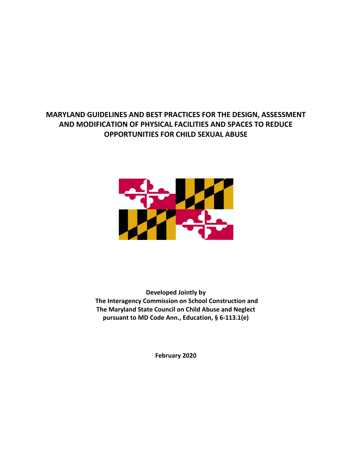## **MARYLAND GUIDELINES AND BEST PRACTICES FOR THE DESIGN, ASSESSMENT AND MODIFICATION OF PHYSICAL FACILITIES AND SPACES TO REDUCE OPPORTUNITIES FOR CHILD SEXUAL ABUSE**



**Developed Jointly by The Interagency Commission on School Construction and The Maryland State Council on Child Abuse and Neglect pursuant to MD Code Ann., Education, § 6-113.1(e)**

**February 2020**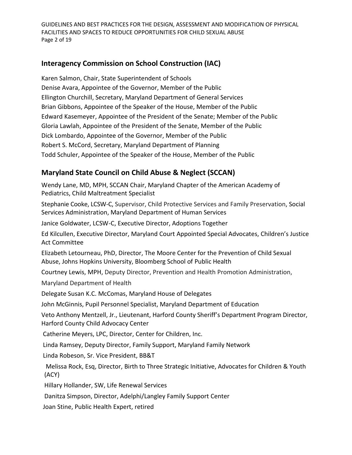GUIDELINES AND BEST PRACTICES FOR THE DESIGN, ASSESSMENT AND MODIFICATION OF PHYSICAL FACILITIES AND SPACES TO REDUCE OPPORTUNITIES FOR CHILD SEXUAL ABUSE Page 2 of 19

### **Interagency Commission on School Construction (IAC)**

Karen Salmon, Chair, State Superintendent of Schools Denise Avara, Appointee of the Governor, Member of the Public Ellington Churchill, Secretary, Maryland Department of General Services Brian Gibbons, Appointee of the Speaker of the House, Member of the Public Edward Kasemeyer, Appointee of the President of the Senate; Member of the Public Gloria Lawlah, Appointee of the President of the Senate, Member of the Public Dick Lombardo, Appointee of the Governor, Member of the Public Robert S. McCord, Secretary, Maryland Department of Planning Todd Schuler, Appointee of the Speaker of the House, Member of the Public

## **Maryland State Council on Child Abuse & Neglect (SCCAN)**

Wendy Lane, MD, MPH, SCCAN Chair, Maryland Chapter of the American Academy of Pediatrics, Child Maltreatment Specialist

Stephanie Cooke, LCSW-C, Supervisor, Child Protective Services and Family Preservation, Social Services Administration, Maryland Department of Human Services

Janice Goldwater, LCSW-C, Executive Director, Adoptions Together

Ed Kilcullen, Executive Director, Maryland Court Appointed Special Advocates, Children's Justice Act Committee

Elizabeth Letourneau, PhD, Director, The Moore Center for the Prevention of Child Sexual Abuse, Johns Hopkins University, Bloomberg School of Public Health

Courtney Lewis, MPH, Deputy Director, Prevention and Health Promotion Administration,

Maryland Department of Health

Delegate Susan K.C. McComas, Maryland House of Delegates

John McGinnis, Pupil Personnel Specialist, Maryland Department of Education

Veto Anthony Mentzell, Jr., Lieutenant, Harford County Sheriff's Department Program Director, Harford County Child Advocacy Center

Catherine Meyers, LPC, Director, Center for Children, Inc.

Linda Ramsey, Deputy Director, Family Support, Maryland Family Network

Linda Robeson, Sr. Vice President, BB&T

Melissa Rock, Esq, Director, Birth to Three Strategic Initiative, Advocates for Children & Youth (ACY)

Hillary Hollander, SW, Life Renewal Services

Danitza Simpson, Director, Adelphi/Langley Family Support Center

Joan Stine, Public Health Expert, retired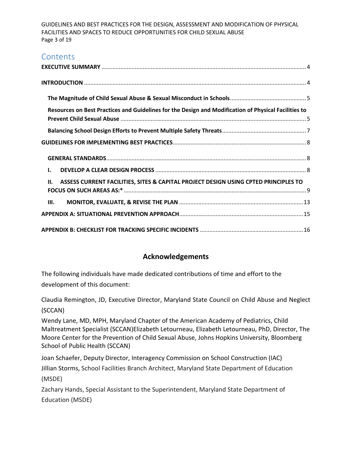GUIDELINES AND BEST PRACTICES FOR THE DESIGN, ASSESSMENT AND MODIFICATION OF PHYSICAL FACILITIES AND SPACES TO REDUCE OPPORTUNITIES FOR CHILD SEXUAL ABUSE Page 3 of 19

# **Contents**

| Resources on Best Practices and Guidelines for the Design and Modification of Physical Facilities to |  |
|------------------------------------------------------------------------------------------------------|--|
|                                                                                                      |  |
|                                                                                                      |  |
|                                                                                                      |  |
| I.                                                                                                   |  |
|                                                                                                      |  |
| ASSESS CURRENT FACILITIES, SITES & CAPITAL PROJECT DESIGN USING CPTED PRINCIPLES TO<br>II.           |  |
| Ш.                                                                                                   |  |
|                                                                                                      |  |

### **Acknowledgements**

The following individuals have made dedicated contributions of time and effort to the development of this document:

Claudia Remington, JD, Executive Director, Maryland State Council on Child Abuse and Neglect (SCCAN)

Wendy Lane, MD, MPH, Maryland Chapter of the American Academy of Pediatrics, Child Maltreatment Specialist (SCCAN)Elizabeth Letourneau, Elizabeth Letourneau, PhD, Director, The Moore Center for the Prevention of Child Sexual Abuse, Johns Hopkins University, Bloomberg School of Public Health (SCCAN)

Joan Schaefer, Deputy Director, Interagency Commission on School Construction (IAC) Jillian Storms, School Facilities Branch Architect, Maryland State Department of Education (MSDE)

Zachary Hands, Special Assistant to the Superintendent, Maryland State Department of Education (MSDE)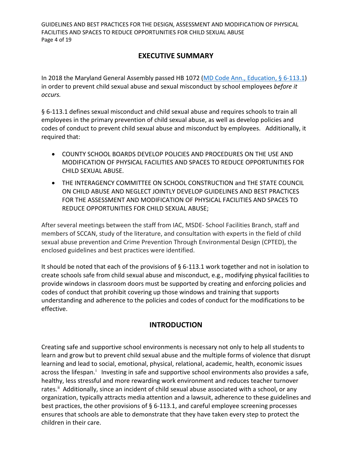GUIDELINES AND BEST PRACTICES FOR THE DESIGN, ASSESSMENT AND MODIFICATION OF PHYSICAL FACILITIES AND SPACES TO REDUCE OPPORTUNITIES FOR CHILD SEXUAL ABUSE Page 4 of 19

## **EXECUTIVE SUMMARY**

<span id="page-3-0"></span>In 2018 the Maryland General Assembly passed HB 1072 [\(MD Code Ann., Education, § 6-113.1\)](http://mgaleg.maryland.gov/webmga/frmStatutesText.aspx?article=ged§ion=6-113.1&ext=html&session=2020RS&tab=subject5) in order to prevent child sexual abuse and sexual misconduct by school employees *before it occurs.*

§ 6-113.1 defines sexual misconduct and child sexual abuse and requires schools to train all employees in the primary prevention of child sexual abuse, as well as develop policies and codes of conduct to prevent child sexual abuse and misconduct by employees. Additionally, it required that:

- COUNTY SCHOOL BOARDS DEVELOP POLICIES AND PROCEDURES ON THE USE AND MODIFICATION OF PHYSICAL FACILITIES AND SPACES TO REDUCE OPPORTUNITIES FOR CHILD SEXUAL ABUSE.
- THE INTERAGENCY COMMITTEE ON SCHOOL CONSTRUCTION and THE STATE COUNCIL ON CHILD ABUSE AND NEGLECT JOINTLY DEVELOP GUIDELINES AND BEST PRACTICES FOR THE ASSESSMENT AND MODIFICATION OF PHYSICAL FACILITIES AND SPACES TO REDUCE OPPORTUNITIES FOR CHILD SEXUAL ABUSE;

After several meetings between the staff from IAC, MSDE- School Facilities Branch, staff and members of SCCAN, study of the literature, and consultation with experts in the field of child sexual abuse prevention and Crime Prevention Through Environmental Design (CPTED), the enclosed guidelines and best practices were identified.

It should be noted that each of the provisions of § 6-113.1 work together and not in isolation to create schools safe from child sexual abuse and misconduct, e.g., modifying physical facilities to provide windows in classroom doors must be supported by creating and enforcing policies and codes of conduct that prohibit covering up those windows and training that supports understanding and adherence to the policies and codes of conduct for the modifications to be effective.

### **INTRODUCTION**

<span id="page-3-1"></span>Creating safe and supportive school environments is necessary not only to help all students to learn and grow but to prevent child sexual abuse and the multiple forms of violence that disrupt learning and lead to social, emotional, physical, relational, academic, health, economic issues across the l[i](#page-17-0)fespan.<sup>i</sup> Investing in safe and supportive school environments also provides a safe, healthy, less stressful and more rewarding work environment and reduces teacher turnover rates.<sup>[ii](#page-17-1)</sup> Additionally, since an incident of child sexual abuse associated with a school, or any organization, typically attracts media attention and a lawsuit, adherence to these guidelines and best practices, the other provisions of § 6-113.1, and careful employee screening processes ensures that schools are able to demonstrate that they have taken every step to protect the children in their care.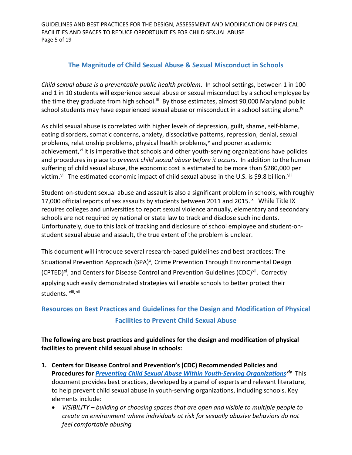GUIDELINES AND BEST PRACTICES FOR THE DESIGN, ASSESSMENT AND MODIFICATION OF PHYSICAL FACILITIES AND SPACES TO REDUCE OPPORTUNITIES FOR CHILD SEXUAL ABUSE Page 5 of 19

#### **The Magnitude of Child Sexual Abuse & Sexual Misconduct in Schools**

<span id="page-4-0"></span>*Child sexual abuse is a preventable public health problem*. In school settings, between 1 in 100 and 1 in 10 students will experience sexual abuse or sexual misconduct by a school employee by the time they graduate from high school.<sup>[iii](#page-17-2)</sup> By those estimates, almost 90,000 Maryland public school students may have experienced sexual abuse or misconduct in a school setting alone.<sup>[iv](#page-17-3)</sup>

As child sexual abuse is correlated with higher levels of depression, guilt, shame, self-blame, eating disorders, somatic concerns, anxiety, dissociative patterns, repression, denial, sexual problems, relationship problems, physical health problems,<sup>[v](#page-17-4)</sup> and poorer academic achievement, $v<sup>i</sup>$  it is imperative that schools and other youth-ser[vi](#page-17-5)ng organizations have policies and procedures in place to *prevent child sexual abuse before it occurs*. In addition to the human suffering of child sexual abuse, the economic cost is estimated to be more than \$280,000 per victim.<sup>[vii](#page-17-6)</sup> The estimated economic impact of child sexual abuse in the U.S. is \$9.8 billion.<sup>[viii](#page-17-7)</sup>

Student-on-student sexual abuse and assault is also a significant problem in schools, with roughly 17,000 official reports of sex assaults by students between 2011 and 2015.<sup>[ix](#page-17-8)</sup> While Title IX requires colleges and universities to report sexual violence annually, elementary and secondary schools are not required by national or state law to track and disclose such incidents. Unfortunately, due to this lack of tracking and disclosure of school employee and student-onstudent sexual abuse and assault, the true extent of the problem is unclear.

This document will introduce several research-based guidelines and best practices: The Situational Prevention Approach (SPA)<sup>x</sup>, Crime Prevention Through Environmental Design (CPTED)<sup>xi</sup>, and Centers for Disease Control and Prevention Guidelines (CDC)<sup>[xii](#page-17-11)</sup>. Correctly applying such easily demonstrated strategies will enable schools to better protect their students.<sup>.[xiii,](#page-17-12) xii</sup>

## <span id="page-4-1"></span>**Resources on Best Practices and Guidelines for the Design and Modification of Physical Facilities to Prevent Child Sexual Abuse**

**The following are best practices and guidelines for the design and modification of physical facilities to prevent child sexual abuse in schools:**

- **1. Centers for Disease Control and Prevention's (CDC) Recommended Policies and Procedures for** *[Preventing Child Sexual Abuse Within Youth-Serving Organizations](https://www.cdc.gov/violenceprevention/pdf/preventingchildsexualabuse-a.pdf)[xiv](#page-17-13)* This document provides best practices, developed by a panel of experts and relevant literature, to help prevent child sexual abuse in youth-serving organizations, including schools. Key elements include:
	- *VISIBILITY – building or choosing spaces that are open and visible to multiple people to create an environment where individuals at risk for sexually abusive behaviors do not feel comfortable abusing*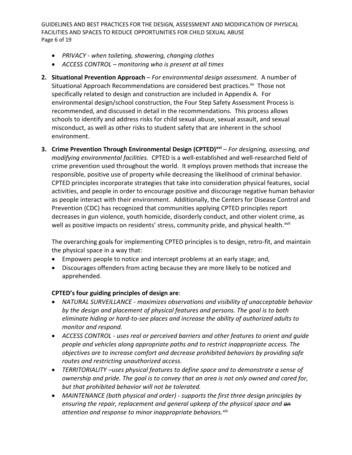GUIDELINES AND BEST PRACTICES FOR THE DESIGN, ASSESSMENT AND MODIFICATION OF PHYSICAL FACILITIES AND SPACES TO REDUCE OPPORTUNITIES FOR CHILD SEXUAL ABUSE Page 6 of 19

- *PRIVACY - when toileting, showering, changing clothes*
- *ACCESS CONTROL – monitoring who is present at all times*
- **2. Situational Prevention Approach** *– For environmental design assessment.* A number of Situational Approach Recommendations are considered best practices.<sup>[xv](#page-17-14)</sup> Those not specifically related to design and construction are included in Appendix A. For environmental design/school construction, the Four Step Safety Assessment Process is recommended, and discussed in detail in the recommendations. This process allows schools to identify and address risks for child sexual abuse, sexual assault, and sexual misconduct, as well as other risks to student safety that are inherent in the school environment.
- **3. Crime Prevention Through Environmental Design (CPTED) [xvi](#page-17-15)** *– For designing, assessing, and modifying environmental facilities.* CPTED is a well-established and well-researched field of crime prevention used throughout the world. It employs proven methods that increase the responsible, positive use of property while decreasing the likelihood of criminal behavior. CPTED principles incorporate strategies that take into consideration physical features, social activities, and people in order to encourage positive and discourage negative human behavior as people interact with their environment. Additionally, the Centers for Disease Control and Prevention (CDC) has recognized that communities applying CPTED principles report decreases in gun violence, youth homicide, disorderly conduct, and other violent crime, [a](#page-17-17)s well as positive impacts on residents' stress, community pride, and physical health.<sup>[xvii](#page-17-16)</sup>

The overarching goals for implementing CPTED principles is to design, retro-fit, and maintain the physical space in a way that:

- Empowers people to notice and intercept problems at an early stage; and,
- Discourages offenders from acting because they are more likely to be noticed and apprehended.

#### **CPTED's four guiding principles of design are**:

- *NATURAL SURVEILLANCE - maximizes observations and visibility of unacceptable behavior by the design and placement of physical features and persons. The goal is to both eliminate hiding or hard-to-see places and increase the ability of authorized adults to monitor and respond.*
- *ACCESS CONTROL - uses real or perceived barriers and other features to orient and guide people and vehicles along appropriate paths and to restrict inappropriate access. The objectives are to increase comfort and decrease prohibited behaviors by providing safe routes and restricting unauthorized access.*
- *TERRITORIALITY –uses physical features to define space and to demonstrate a sense of ownership and pride. The goal is to convey that an area is not only owned and cared for, but that prohibited behavior will not be tolerated.*
- *MAINTENANCE (both physical and order) - supports the first three design principles by ensuring the repair, replacement and general upkeep of the physical space and an attention and response to minor inappropriate behaviors.[xix](#page-17-18)*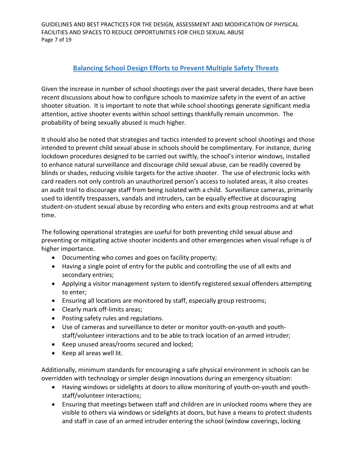GUIDELINES AND BEST PRACTICES FOR THE DESIGN, ASSESSMENT AND MODIFICATION OF PHYSICAL FACILITIES AND SPACES TO REDUCE OPPORTUNITIES FOR CHILD SEXUAL ABUSE Page 7 of 19

### **Balancing School Design Efforts to Prevent Multiple Safety Threats**

<span id="page-6-0"></span>Given the increase in number of school shootings over the past several decades, there have been recent discussions about how to configure schools to maximize safety in the event of an active shooter situation. It is important to note that while school shootings generate significant media attention, active shooter events within school settings thankfully remain uncommon. The probability of being sexually abused is much higher.

It should also be noted that strategies and tactics intended to prevent school shootings and those intended to prevent child sexual abuse in schools should be complimentary. For instance, during lockdown procedures designed to be carried out swiftly, the school's interior windows, installed to enhance natural surveillance and discourage child sexual abuse, can be readily covered by blinds or shades, reducing visible targets for the active shooter. The use of electronic locks with card readers not only controls an unauthorized person's access to isolated areas, it also creates an audit trail to discourage staff from being isolated with a child. Surveillance cameras, primarily used to identify trespassers, vandals and intruders, can be equally effective at discouraging student-on-student sexual abuse by recording who enters and exits group restrooms and at what time.

The following operational strategies are useful for both preventing child sexual abuse and preventing or mitigating active shooter incidents and other emergencies when visual refuge is of higher importance.

- Documenting who comes and goes on facility property;
- Having a single point of entry for the public and controlling the use of all exits and secondary entries;
- Applying a visitor management system to identify registered sexual offenders attempting to enter;
- Ensuring all locations are monitored by staff, especially group restrooms;
- Clearly mark off-limits areas;
- Posting safety rules and regulations.
- Use of cameras and surveillance to deter or monitor youth-on-youth and youthstaff/volunteer interactions and to be able to track location of an armed intruder;
- Keep unused areas/rooms secured and locked;
- Keep all areas well lit.

Additionally, minimum standards for encouraging a safe physical environment in schools can be overridden with technology or simpler design innovations during an emergency situation:

- Having windows or sidelights at doors to allow monitoring of youth-on-youth and youthstaff/volunteer interactions;
- Ensuring that meetings between staff and children are in unlocked rooms where they are visible to others via windows or sidelights at doors, but have a means to protect students and staff in case of an armed intruder entering the school (window coverings, locking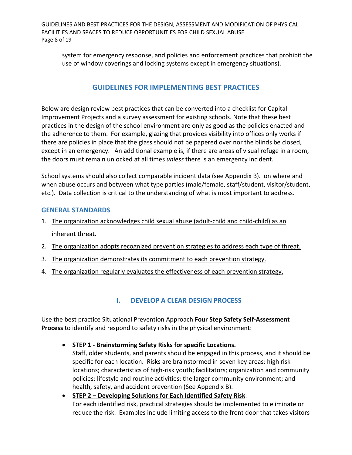GUIDELINES AND BEST PRACTICES FOR THE DESIGN, ASSESSMENT AND MODIFICATION OF PHYSICAL FACILITIES AND SPACES TO REDUCE OPPORTUNITIES FOR CHILD SEXUAL ABUSE Page 8 of 19

system for emergency response, and policies and enforcement practices that prohibit the use of window coverings and locking systems except in emergency situations).

### **GUIDELINES FOR IMPLEMENTING BEST PRACTICES**

<span id="page-7-0"></span>Below are design review best practices that can be converted into a checklist for Capital Improvement Projects and a survey assessment for existing schools. Note that these best practices in the design of the school environment are only as good as the policies enacted and the adherence to them. For example, glazing that provides visibility into offices only works if there are policies in place that the glass should not be papered over nor the blinds be closed, except in an emergency. An additional example is, if there are areas of visual refuge in a room, the doors must remain unlocked at all times *unless* there is an emergency incident.

School systems should also collect comparable incident data (see Appendix B). on where and when abuse occurs and between what type parties (male/female, staff/student, visitor/student, etc.). Data collection is critical to the understanding of what is most important to address.

#### <span id="page-7-1"></span>**GENERAL STANDARDS**

- 1. The organization acknowledges child sexual abuse (adult-child and child-child) as an inherent threat.
- 2. The organization adopts recognized prevention strategies to address each type of threat.
- 3. The organization demonstrates its commitment to each prevention strategy.
- 4. The organization regularly evaluates the effectiveness of each prevention strategy.

### **I. DEVELOP A CLEAR DESIGN PROCESS**

<span id="page-7-2"></span>Use the best practice Situational Prevention Approach **Four Step Safety Self-Assessment Process** to identify and respond to safety risks in the physical environment:

• **STEP 1 - Brainstorming Safety Risks for specific Locations.**

Staff, older students, and parents should be engaged in this process, and it should be specific for each location. Risks are brainstormed in seven key areas: high risk locations; characteristics of high-risk youth; facilitators; organization and community policies; lifestyle and routine activities; the larger community environment; and health, safety, and accident prevention (See Appendix B).

• **STEP 2 – Developing Solutions for Each Identified Safety Risk**. For each identified risk, practical strategies should be implemented to eliminate or reduce the risk. Examples include limiting access to the front door that takes visitors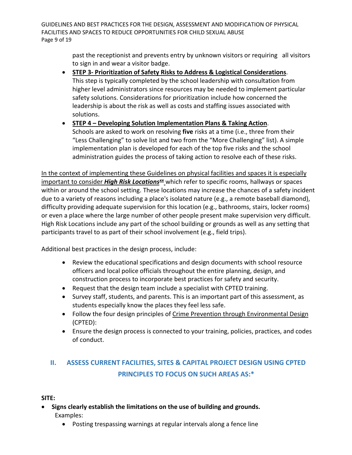GUIDELINES AND BEST PRACTICES FOR THE DESIGN, ASSESSMENT AND MODIFICATION OF PHYSICAL FACILITIES AND SPACES TO REDUCE OPPORTUNITIES FOR CHILD SEXUAL ABUSE Page 9 of 19

> past the receptionist and prevents entry by unknown visitors or requiring all visitors to sign in and wear a visitor badge.

- **STEP 3- Prioritization of Safety Risks to Address & Logistical Considerations**. This step is typically completed by the school leadership with consultation from higher level administrators since resources may be needed to implement particular safety solutions. Considerations for prioritization include how concerned the leadership is about the risk as well as costs and staffing issues associated with solutions.
- **STEP 4 – Developing Solution Implementation Plans & Taking Action**. Schools are asked to work on resolving **five** risks at a time (i.e., three from their "Less Challenging" to solve list and two from the "More Challenging" list). A simple implementation plan is developed for each of the top five risks and the school administration guides the process of taking action to resolve each of these risks.

In the context of implementing these Guidelines on physical facilities and spaces it is especially important to consider *High Risk Locations[xx](#page-17-19)* which refer to specific rooms, hallways or spaces within or around the school setting. These locations may increase the chances of a safety incident due to a variety of reasons including a place's isolated nature (e.g., a remote baseball diamond), difficulty providing adequate supervision for this location (e.g., bathrooms, stairs, locker rooms) or even a place where the large number of other people present make supervision very difficult. High Risk Locations include any part of the school building or grounds as well as any setting that participants travel to as part of their school involvement (e.g., field trips).

Additional best practices in the design process, include:

- Review the educational specifications and design documents with school resource officers and local police officials throughout the entire planning, design, and construction process to incorporate best practices for safety and security.
- Request that the design team include a specialist with CPTED training.
- Survey staff, students, and parents. This is an important part of this assessment, as students especially know the places they feel less safe.
- Follow the four design principles of [Crime Prevention through Environmental Design](http://www.ncef.org/pubs/cpted101.pdf) (CPTED):
- Ensure the design process is connected to your training, policies, practices, and codes of conduct.

# <span id="page-8-0"></span>**II. ASSESS CURRENT FACILITIES, SITES & CAPITAL PROJECT DESIGN USING CPTED PRINCIPLES TO FOCUS ON SUCH AREAS AS:\***

#### **SITE:**

- **Signs clearly establish the limitations on the use of building and grounds.** Examples:
	- Posting trespassing warnings at regular intervals along a fence line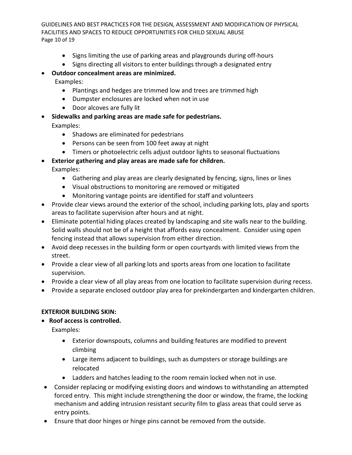GUIDELINES AND BEST PRACTICES FOR THE DESIGN, ASSESSMENT AND MODIFICATION OF PHYSICAL FACILITIES AND SPACES TO REDUCE OPPORTUNITIES FOR CHILD SEXUAL ABUSE Page 10 of 19

- Signs limiting the use of parking areas and playgrounds during off-hours
- Signs directing all visitors to enter buildings through a designated entry

#### • **Outdoor concealment areas are minimized.** Examples:

- Plantings and hedges are trimmed low and trees are trimmed high
- Dumpster enclosures are locked when not in use
- Door alcoves are fully lit
- **Sidewalks and parking areas are made safe for pedestrians.** Examples:
	- Shadows are eliminated for pedestrians
	- Persons can be seen from 100 feet away at night
	- Timers or photoelectric cells adjust outdoor lights to seasonal fluctuations
- **Exterior gathering and play areas are made safe for children.** Examples:
	- Gathering and play areas are clearly designated by fencing, signs, lines or lines
	- Visual obstructions to monitoring are removed or mitigated
	- Monitoring vantage points are identified for staff and volunteers
- Provide clear views around the exterior of the school, including parking lots, play and sports areas to facilitate supervision after hours and at night.
- Eliminate potential hiding places created by landscaping and site walls near to the building. Solid walls should not be of a height that affords easy concealment. Consider using open fencing instead that allows supervision from either direction.
- Avoid deep recesses in the building form or open courtyards with limited views from the street.
- Provide a clear view of all parking lots and sports areas from one location to facilitate supervision.
- Provide a clear view of all play areas from one location to facilitate supervision during recess.
- Provide a separate enclosed outdoor play area for prekindergarten and kindergarten children.

#### **EXTERIOR BUILDING SKIN:**

• **Roof access is controlled.**

Examples:

- Exterior downspouts, columns and building features are modified to prevent climbing
- Large items adjacent to buildings, such as dumpsters or storage buildings are relocated
- Ladders and hatches leading to the room remain locked when not in use.
- Consider replacing or modifying existing doors and windows to withstanding an attempted forced entry. This might include strengthening the door or window, the frame, the locking mechanism and adding intrusion resistant security film to glass areas that could serve as entry points.
- Ensure that door hinges or hinge pins cannot be removed from the outside.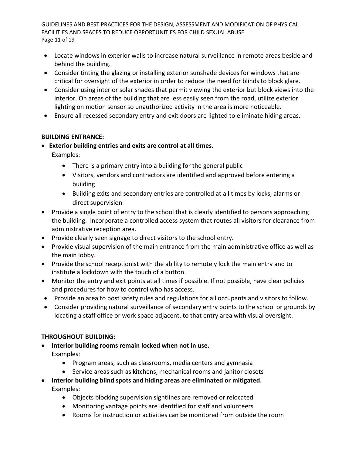GUIDELINES AND BEST PRACTICES FOR THE DESIGN, ASSESSMENT AND MODIFICATION OF PHYSICAL FACILITIES AND SPACES TO REDUCE OPPORTUNITIES FOR CHILD SEXUAL ABUSE Page 11 of 19

- Locate windows in exterior walls to increase natural surveillance in remote areas beside and behind the building.
- Consider tinting the glazing or installing exterior sunshade devices for windows that are critical for oversight of the exterior in order to reduce the need for blinds to block glare.
- Consider using interior solar shades that permit viewing the exterior but block views into the interior. On areas of the building that are less easily seen from the road, utilize exterior lighting on motion sensor so unauthorized activity in the area is more noticeable.
- Ensure all recessed secondary entry and exit doors are lighted to eliminate hiding areas.

#### **BUILDING ENTRANCE:**

• **Exterior building entries and exits are control at all times.**

Examples:

- There is a primary entry into a building for the general public
- Visitors, vendors and contractors are identified and approved before entering a building
- Building exits and secondary entries are controlled at all times by locks, alarms or direct supervision
- Provide a single point of entry to the school that is clearly identified to persons approaching the building. Incorporate a controlled access system that routes all visitors for clearance from administrative reception area.
- Provide clearly seen signage to direct visitors to the school entry.
- Provide visual supervision of the main entrance from the main administrative office as well as the main lobby.
- Provide the school receptionist with the ability to remotely lock the main entry and to institute a lockdown with the touch of a button.
- Monitor the entry and exit points at all times if possible. If not possible, have clear policies and procedures for how to control who has access.
- Provide an area to post safety rules and regulations for all occupants and visitors to follow.
- Consider providing natural surveillance of secondary entry points to the school or grounds by locating a staff office or work space adjacent, to that entry area with visual oversight.

### **THROUGHOUT BUILDING:**

- **Interior building rooms remain locked when not in use.** Examples:
	- Program areas, such as classrooms, media centers and gymnasia
	- Service areas such as kitchens, mechanical rooms and janitor closets
- **Interior building blind spots and hiding areas are eliminated or mitigated.** Examples:
	- Objects blocking supervision sightlines are removed or relocated
	- Monitoring vantage points are identified for staff and volunteers
	- Rooms for instruction or activities can be monitored from outside the room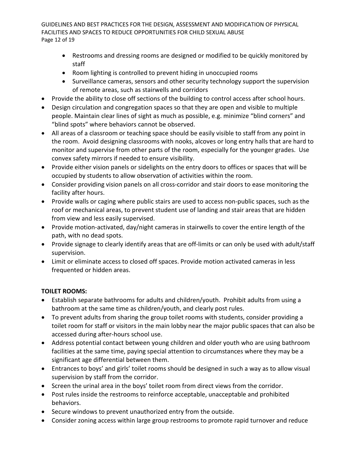GUIDELINES AND BEST PRACTICES FOR THE DESIGN, ASSESSMENT AND MODIFICATION OF PHYSICAL FACILITIES AND SPACES TO REDUCE OPPORTUNITIES FOR CHILD SEXUAL ABUSE Page 12 of 19

- Restrooms and dressing rooms are designed or modified to be quickly monitored by staff
- Room lighting is controlled to prevent hiding in unoccupied rooms
- Surveillance cameras, sensors and other security technology support the supervision of remote areas, such as stairwells and corridors
- Provide the ability to close off sections of the building to control access after school hours.
- Design circulation and congregation spaces so that they are open and visible to multiple people. Maintain clear lines of sight as much as possible, e.g. minimize "blind corners" and "blind spots" where behaviors cannot be observed.
- All areas of a classroom or teaching space should be easily visible to staff from any point in the room. Avoid designing classrooms with nooks, alcoves or long entry halls that are hard to monitor and supervise from other parts of the room, especially for the younger grades. Use convex safety mirrors if needed to ensure visibility.
- Provide either vision panels or sidelights on the entry doors to offices or spaces that will be occupied by students to allow observation of activities within the room.
- Consider providing vision panels on all cross-corridor and stair doors to ease monitoring the facility after hours.
- Provide walls or caging where public stairs are used to access non-public spaces, such as the roof or mechanical areas, to prevent student use of landing and stair areas that are hidden from view and less easily supervised.
- Provide motion-activated, day/night cameras in stairwells to cover the entire length of the path, with no dead spots.
- Provide signage to clearly identify areas that are off-limits or can only be used with adult/staff supervision.
- Limit or eliminate access to closed off spaces. Provide motion activated cameras in less frequented or hidden areas.

### **TOILET ROOMS:**

- Establish separate bathrooms for adults and children/youth. Prohibit adults from using a bathroom at the same time as children/youth, and clearly post rules.
- To prevent adults from sharing the group toilet rooms with students, consider providing a toilet room for staff or visitors in the main lobby near the major public spaces that can also be accessed during after-hours school use.
- Address potential contact between young children and older youth who are using bathroom facilities at the same time, paying special attention to circumstances where they may be a significant age differential between them.
- Entrances to boys' and girls' toilet rooms should be designed in such a way as to allow visual supervision by staff from the corridor.
- Screen the urinal area in the boys' toilet room from direct views from the corridor.
- Post rules inside the restrooms to reinforce acceptable, unacceptable and prohibited behaviors.
- Secure windows to prevent unauthorized entry from the outside.
- Consider zoning access within large group restrooms to promote rapid turnover and reduce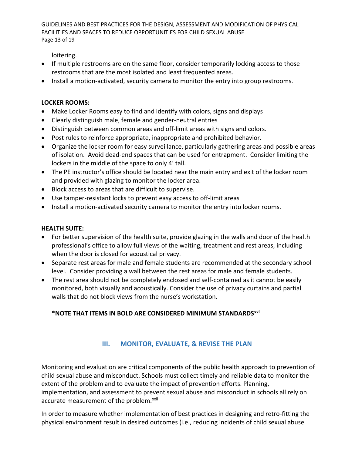GUIDELINES AND BEST PRACTICES FOR THE DESIGN, ASSESSMENT AND MODIFICATION OF PHYSICAL FACILITIES AND SPACES TO REDUCE OPPORTUNITIES FOR CHILD SEXUAL ABUSE Page 13 of 19

loitering.

- If multiple restrooms are on the same floor, consider temporarily locking access to those restrooms that are the most isolated and least frequented areas.
- Install a motion-activated, security camera to monitor the entry into group restrooms.

#### **LOCKER ROOMS:**

- Make Locker Rooms easy to find and identify with colors, signs and displays
- Clearly distinguish male, female and gender-neutral entries
- Distinguish between common areas and off-limit areas with signs and colors.
- Post rules to reinforce appropriate, inappropriate and prohibited behavior.
- Organize the locker room for easy surveillance, particularly gathering areas and possible areas of isolation. Avoid dead-end spaces that can be used for entrapment. Consider limiting the lockers in the middle of the space to only 4' tall.
- The PE instructor's office should be located near the main entry and exit of the locker room and provided with glazing to monitor the locker area.
- Block access to areas that are difficult to supervise.
- Use tamper-resistant locks to prevent easy access to off-limit areas
- Install a motion-activated security camera to monitor the entry into locker rooms.

#### **HEALTH SUITE:**

- For better supervision of the health suite, provide glazing in the walls and door of the health professional's office to allow full views of the waiting, treatment and rest areas, including when the door is closed for acoustical privacy.
- Separate rest areas for male and female students are recommended at the secondary school level. Consider providing a wall between the rest areas for male and female students.
- The rest area should not be completely enclosed and self-contained as it cannot be easily monitored, both visually and acoustically. Consider the use of privacy curtains and partial walls that do not block views from the nurse's workstation.

### **\*NOTE THAT ITEMS IN BOLD ARE CONSIDERED MINIMUM STANDARDS[xxi](#page-17-20)**

### **III. MONITOR, EVALUATE, & REVISE THE PLAN**

<span id="page-12-0"></span>Monitoring and evaluation are critical components of the public health approach to prevention of child sexual abuse and misconduct. Schools must collect timely and reliable data to monitor the extent of the problem and to evaluate the impact of prevention efforts. Planning, implementation, and assessment to prevent sexual abuse and misconduct in schools all rely on accurate measurement of the problem.<sup>[xxii](#page-17-21)</sup>

In order to measure whether implementation of best practices in designing and retro-fitting the physical environment result in desired outcomes (i.e., reducing incidents of child sexual abuse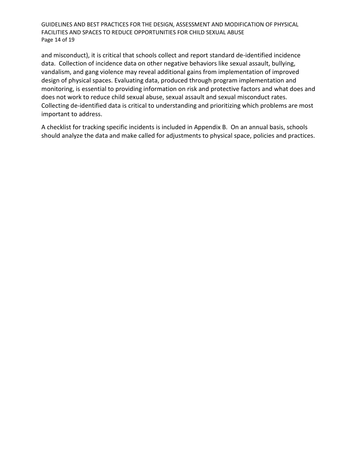GUIDELINES AND BEST PRACTICES FOR THE DESIGN, ASSESSMENT AND MODIFICATION OF PHYSICAL FACILITIES AND SPACES TO REDUCE OPPORTUNITIES FOR CHILD SEXUAL ABUSE Page 14 of 19

and misconduct), it is critical that schools collect and report standard de-identified incidence data. Collection of incidence data on other negative behaviors like sexual assault, bullying, vandalism, and gang violence may reveal additional gains from implementation of improved design of physical spaces. Evaluating data, produced through program implementation and monitoring, is essential to providing information on risk and protective factors and what does and does not work to reduce child sexual abuse, sexual assault and sexual misconduct rates. Collecting de-identified data is critical to understanding and prioritizing which problems are most important to address.

A checklist for tracking specific incidents is included in Appendix B. On an annual basis, schools should analyze the data and make called for adjustments to physical space, policies and practices.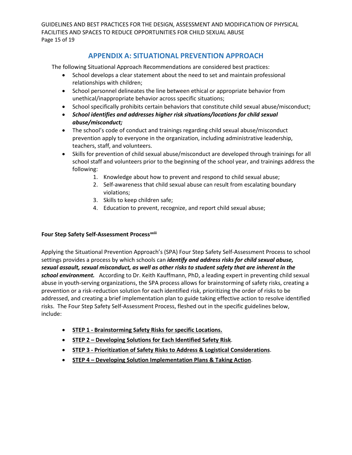GUIDELINES AND BEST PRACTICES FOR THE DESIGN, ASSESSMENT AND MODIFICATION OF PHYSICAL FACILITIES AND SPACES TO REDUCE OPPORTUNITIES FOR CHILD SEXUAL ABUSE Page 15 of 19

### **APPENDIX A: SITUATIONAL PREVENTION APPROACH**

<span id="page-14-0"></span>The following Situational Approach Recommendations are considered best practices:

- School develops a clear statement about the need to set and maintain professional relationships with children;
- School personnel delineates the line between ethical or appropriate behavior from unethical/inappropriate behavior across specific situations;
- School specifically prohibits certain behaviors that constitute child sexual abuse/misconduct;
- *School identifies and addresses higher risk situations/locations for child sexual abuse/misconduct;*
- The school's code of conduct and trainings regarding child sexual abuse/misconduct prevention apply to everyone in the organization, including administrative leadership, teachers, staff, and volunteers.
- Skills for prevention of child sexual abuse/misconduct are developed through trainings for all school staff and volunteers prior to the beginning of the school year, and trainings address the following:
	- 1. Knowledge about how to prevent and respond to child sexual abuse;
	- 2. Self-awareness that child sexual abuse can result from escalating boundary violations;
	- 3. Skills to keep children safe;
	- 4. Education to prevent, recognize, and report child sexual abuse;

#### **Four Step Safety Self-Assessment Processxxiii**

Applying the Situational Prevention Approach's (SPA) Four Step Safety Self-Assessment Process to school settings provides a process by which schools can *identify and address risks for child sexual abuse, sexual assault, sexual misconduct, as well as other risks to student safety that are inherent in the school environment.*According to Dr. Keith Kauffmann, PhD, a leading expert in preventing child sexual abuse in youth-serving organizations, the SPA process allows for brainstorming of safety risks, creating a prevention or a risk-reduction solution for each identified risk, prioritizing the order of risks to be addressed, and creating a brief implementation plan to guide taking effective action to resolve identified risks. The Four Step Safety Self-Assessment Process, fleshed out in the specific guidelines below, include:

- **STEP 1 - Brainstorming Safety Risks for specific Locations.**
- **STEP 2 – Developing Solutions for Each Identified Safety Risk**.
- **STEP 3 - Prioritization of Safety Risks to Address & Logistical Considerations**.
- **STEP 4 – Developing Solution Implementation Plans & Taking Action**.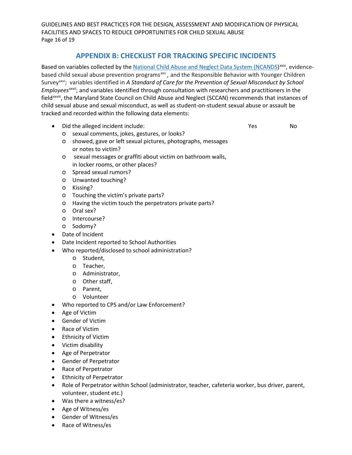GUIDELINES AND BEST PRACTICES FOR THE DESIGN, ASSESSMENT AND MODIFICATION OF PHYSICAL FACILITIES AND SPACES TO REDUCE OPPORTUNITIES FOR CHILD SEXUAL ABUSE Page 16 of 19

### **APPENDIX B: CHECKLIST FOR TRACKING SPECIFIC INCIDENTS**

<span id="page-15-0"></span>Based on variables collected by th[e National Child Abuse and Neglect Data System \(NCANDS](https://www.ndacan.acf.hhs.gov/datasets/dataset-details.cfm?ID=178))<sup>[xxiv](#page-17-22)</sup>, evidence*xxvii*; and variables identified through consultation with researchers and practitioners in the *Employees* field<[s](#page-18-0)up>xxviii</sup>, the Maryland State Council on Child Abuse and Neglect (SCCAN) recommends that instances of based child sexual abuse prevention programs<sup>[xxv](#page-17-23)</sup>, and the Responsible Behavior with Younger Children Survey<sup>[xxvi](#page-17-24)</sup>; variables identified in A Standard of Care for the Prevention of Sexual Misconduct by School child sexual abuse and sexual misconduct, as well as student-on-student sexual abuse or assault be tracked and recorded within the following data elements:

• Did the alleged incident include:  $\blacksquare$  Yes No

- o sexual comments, jokes, gestures, or looks?
- o showed, gave or left sexual pictures, photographs, messages or notes to victim?
- o sexual messages or graffiti about victim on bathroom walls, in locker rooms, or other places?
- o Spread sexual rumors?
- o Unwanted touching?
- o Kissing?
- o Touching the victim's private parts?
- o Having the victim touch the perpetrators private parts?
- o Oral sex?
- o Intercourse?
- o Sodomy?
- Date of Incident
- Date Incident reported to School Authorities
- Who reported/disclosed to school administration?
	- o Student,
	- o Teacher,
	- o Administrator,
	- o Other staff,
	- o Parent,
	- o Volunteer
- Who reported to CPS and/or Law Enforcement?
- Age of Victim
- Gender of Victim
- Race of Victim
- Ethnicity of Victim
- Victim disability
- Age of Perpetrator
- Gender of Perpetrator
- Race of Perpetrator
- Ethnicity of Perpetrator
- Role of Perpetrator within School (administrator, teacher, cafeteria worker, bus driver, parent, volunteer, student etc.)
- Was there a witness/es?
- Age of Witness/es
- Gender of Witness/es
- Race of Witness/es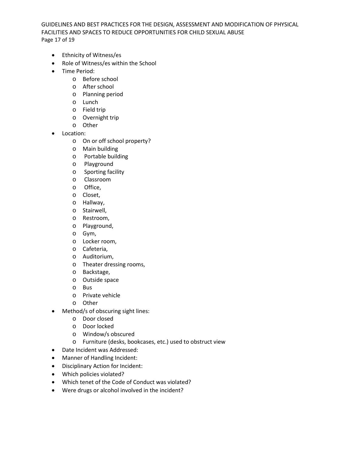GUIDELINES AND BEST PRACTICES FOR THE DESIGN, ASSESSMENT AND MODIFICATION OF PHYSICAL FACILITIES AND SPACES TO REDUCE OPPORTUNITIES FOR CHILD SEXUAL ABUSE Page 17 of 19

- Ethnicity of Witness/es
- Role of Witness/es within the School
- Time Period:
	- o Before school
	- o After school
	- o Planning period
	- o Lunch
	- o Field trip
	- o Overnight trip
	- o Other
- Location:
	- o On or off school property?
	- o Main building
	- o Portable building
	- o Playground
	- o Sporting facility
	- o Classroom
	- o Office,
	- o Closet,
	- o Hallway,
	- o Stairwell,
	- o Restroom,
	- o Playground,
	- o Gym,
	- o Locker room,
	- o Cafeteria,
	- o Auditorium,
	- o Theater dressing rooms,
	- o Backstage,
	- o Outside space
	- o Bus
	- o Private vehicle
	- o Other
- Method/s of obscuring sight lines:
	- o Door closed
	- o Door locked
	- o Window/s obscured
	- o Furniture (desks, bookcases, etc.) used to obstruct view
- Date Incident was Addressed:
- Manner of Handling Incident:
- Disciplinary Action for Incident:
- Which policies violated?
- Which tenet of the Code of Conduct was violated?
- Were drugs or alcohol involved in the incident?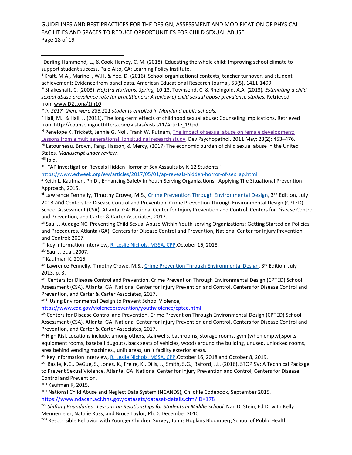GUIDELINES AND BEST PRACTICES FOR THE DESIGN, ASSESSMENT AND MODIFICATION OF PHYSICAL FACILITIES AND SPACES TO REDUCE OPPORTUNITIES FOR CHILD SEXUAL ABUSE Page 18 of 19

<span id="page-17-2"></span>iii Shakeshaft, C. (2003). *Hofstra Horizons, Spring,* 10-13. Townsend, C. & Rheingold, A.A. (2013)*. Estimating a child sexual abuse prevalence rate for practitioners: A review of child sexual abuse prevalence studies.* Retrieved from [www.D2L.org/1in10](http://www.d2l.org/1in10)

<span id="page-17-3"></span>iv *In 2017, there were 886,221 students enrolled in Maryland public schools.*

<span id="page-17-4"></span><sup>v</sup> Hall, M., & Hall, J. (2011). The long-term effects of childhood sexual abuse: Counseling implications. Retrieved from http://counselingoutfitters.com/vistas/vistas11/Article\_19.pdf

<span id="page-17-5"></span>vi Penelope K. Trickett, Jennie G. Noll, Frank W. Putnam[, The impact of sexual abuse on female development:](https://www.ncbi.nlm.nih.gov/pmc/articles/PMC3693773/)  [Lessons from a multigenerational, longitudinal research study,](https://www.ncbi.nlm.nih.gov/pmc/articles/PMC3693773/) Dev Psychopathol. 2011 May; 23(2): 453–476.

<span id="page-17-6"></span>vii Letourneau, Brown, Fang, Hasson, & Mercy, (2017) The economic burden of child sexual abuse in the United States. *Manuscript under review.*

<span id="page-17-7"></span>viii Ibid.

l

<span id="page-17-8"></span>ix "AP Investigation Reveals Hidden Horror of Sex Assaults by K-12 Students"

[https://www.edweek.org/ew/articles/2017/05/01/ap-reveals-hidden-horror-of-sex\\_ap.html](https://www.edweek.org/ew/articles/2017/05/01/ap-reveals-hidden-horror-of-sex_ap.html)

<span id="page-17-9"></span><sup>x</sup> Keith L. Kaufman, Ph.D., Enhancing Safety In Youth Serving Organizations: Applying The Situational Prevention Approach, 2015.

<span id="page-17-10"></span><sup>xi</sup> Lawrence Fennelly, Timothy Crowe, M.S.[, Crime Prevention Through Environmental Design,](https://www.amazon.com/dp/0124116353/ref=rdr_ext_tmb) 3<sup>rd</sup> Edition, July 2013 and Centers for Disease Control and Prevention. Crime Prevention Through Environmental Design (CPTED) School Assessment (CSA). Atlanta, GA: National Center for Injury Prevention and Control, Centers for Disease Control and Prevention, and Carter & Carter Associates, 2017.

<span id="page-17-11"></span>xii Saul J, Audage NC. Preventing Child Sexual Abuse Within Youth-serving Organizations: Getting Started on Policies and Procedures. Atlanta (GA): Centers for Disease Control and Prevention, National Center for Injury Prevention and Control; 2007.

<span id="page-17-13"></span><span id="page-17-12"></span><sup>xiii</sup> Key information interview, <u>R. Leslie Nichols, MSSA, CPP</u>,October 16, 2018.<br><sup>xiv</sup> Saul J, et,al.,2007.

<span id="page-17-14"></span>xv Kaufman K, 2015.

<span id="page-17-15"></span><sup>xvi</sup> Lawrence Fennelly, Timothy Crowe, M.S., [Crime Prevention Through Environmental Design,](https://www.amazon.com/dp/0124116353/ref=rdr_ext_tmb) 3<sup>rd</sup> Edition, July 2013, p. 3.

<span id="page-17-16"></span>xvii Centers for Disease Control and Prevention. Crime Prevention Through Environmental Design (CPTED) School Assessment (CSA). Atlanta, GA: National Center for Injury Prevention and Control, Centers for Disease Control and Prevention, and Carter & Carter Associates, 2017.

<span id="page-17-17"></span>xviii Using Environmental Design to Prevent School Violence,

<https://www.cdc.gov/violenceprevention/youthviolence/cpted.html>

<span id="page-17-18"></span>xix Centers for Disease Control and Prevention. Crime Prevention Through Environmental Design (CPTED) School Assessment (CSA). Atlanta, GA: National Center for Injury Prevention and Control, Centers for Disease Control and Prevention, and Carter & Carter Associates, 2017.

<span id="page-17-19"></span><sup>xx</sup> High Risk Locations include, among others, stairwells, bathrooms, storage rooms, gym (when empty), sports equipment rooms, baseball dugouts, back seats of vehicles, woods around the building, unused, unlocked rooms, area behind vending machines,, unlit areas, unlit facility exterior areas.

<span id="page-17-20"></span><sup>xxi</sup> Key information interview, R. Leslie Nichols, MSSA, CPP, October 16, 2018 and October 8, 2019.

<span id="page-17-21"></span>xxii Basile, K.C., DeGue, S., Jones, K., Freire, K., Dills, J., Smith, S.G., Raiford, J.L. (2016). STOP SV: A Technical Package to Prevent Sexual Violence. Atlanta, GA: National Center for Injury Prevention and Control, Centers for Disease Control and Prevention.<br><sup>xxiii</sup> Kaufman K, 2015.

<span id="page-17-22"></span>xxiv National Child Abuse and Neglect Data System (NCANDS), Childfile Codebook, September 2015. <https://www.ndacan.acf.hhs.gov/datasets/dataset-details.cfm?ID=178>

<span id="page-17-23"></span>xxv *Shifting Boundaries: Lessons on Relationships for Students in Middle School*, Nan D. Stein, Ed.D. with Kelly Mennemeier, Natalie Russ, and Bruce Taylor, Ph.D. December 2010.

<span id="page-17-24"></span>xxvi Responsible Behavior with Younger Children Survey, Johns Hopkins Bloomberg School of Public Health

<span id="page-17-0"></span><sup>i</sup> Darling-Hammond, L., & Cook-Harvey, C. M. (2018). Educating the whole child: Improving school climate to support student success. Palo Alto, CA: Learning Policy Institute.

<span id="page-17-1"></span>ii Kraft, M.A., Marinell, W.H. & Yee. D. (2016). School organizational contexts, teacher turnover, and student achievement: Evidence from panel data. American Educational Research Journal, 53(5), 1411-1499.